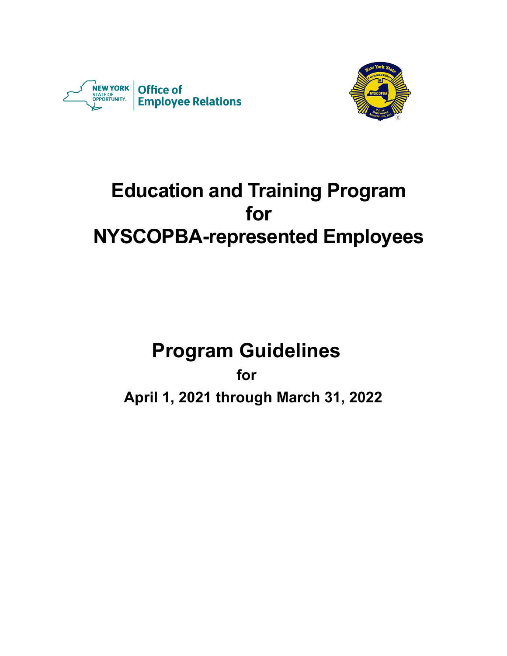



# **Education and Training Program for NYSCOPBA-represented Employees**

# **Program Guidelines**

**for**

**April 1, 2021 through March 31, 2022**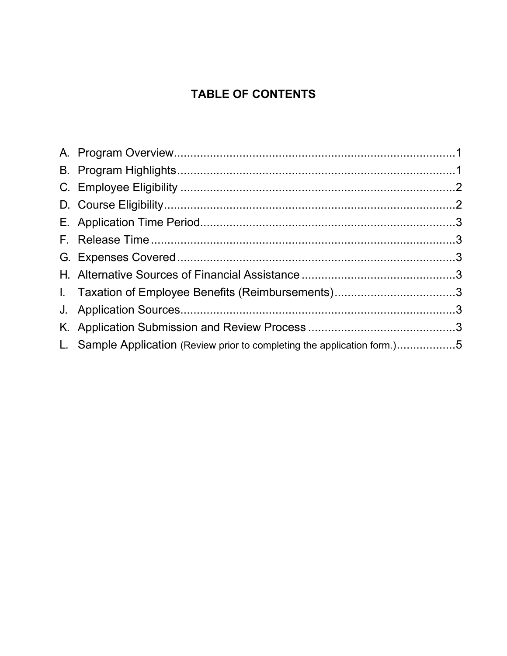# **TABLE OF CONTENTS**

| I. Taxation of Employee Benefits (Reimbursements)3                        |  |
|---------------------------------------------------------------------------|--|
|                                                                           |  |
|                                                                           |  |
| L. Sample Application (Review prior to completing the application form.)5 |  |
|                                                                           |  |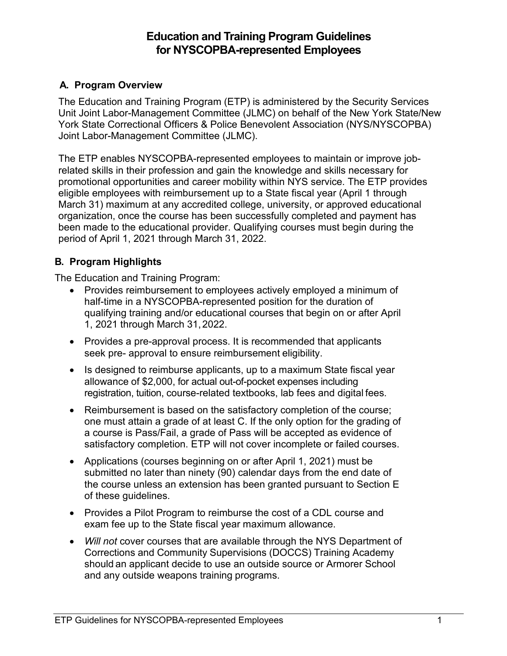# **Education and Training Program Guidelines for NYSCOPBA-represented Employees**

# <span id="page-2-0"></span>**A. Program Overview**

The Education and Training Program (ETP) is administered by the Security Services Unit Joint Labor-Management Committee (JLMC) on behalf of the New York State/New York State Correctional Officers & Police Benevolent Association (NYS/NYSCOPBA) Joint Labor-Management Committee (JLMC).

The ETP enables NYSCOPBA-represented employees to maintain or improve jobrelated skills in their profession and gain the knowledge and skills necessary for promotional opportunities and career mobility within NYS service. The ETP provides eligible employees with reimbursement up to a State fiscal year (April 1 through March 31) maximum at any accredited college, university, or approved educational organization, once the course has been successfully completed and payment has been made to the educational provider. Qualifying courses must begin during the period of April 1, 2021 through March 31, 2022.

# <span id="page-2-1"></span>**B. Program Highlights**

The Education and Training Program:

- Provides reimbursement to employees actively employed a minimum of half-time in a NYSCOPBA-represented position for the duration of qualifying training and/or educational courses that begin on or after April 1, 2021 through March 31,2022.
- Provides a pre-approval process. It is recommended that applicants seek pre- approval to ensure reimbursement eligibility.
- Is designed to reimburse applicants, up to a maximum State fiscal year allowance of \$2,000, for actual out-of-pocket expenses including registration, tuition, course-related textbooks, lab fees and digital fees.
- Reimbursement is based on the satisfactory completion of the course; one must attain a grade of at least C. If the only option for the grading of a course is Pass/Fail, a grade of Pass will be accepted as evidence of satisfactory completion. ETP will not cover incomplete or failed courses.
- Applications (courses beginning on or after April 1, 2021) must be submitted no later than ninety (90) calendar days from the end date of the course unless an extension has been granted pursuant to Section E of these guidelines.
- Provides a Pilot Program to reimburse the cost of a CDL course and exam fee up to the State fiscal year maximum allowance.
- *Will not* cover courses that are available through the NYS Department of Corrections and Community Supervisions (DOCCS) Training Academy should an applicant decide to use an outside source or Armorer School and any outside weapons training programs.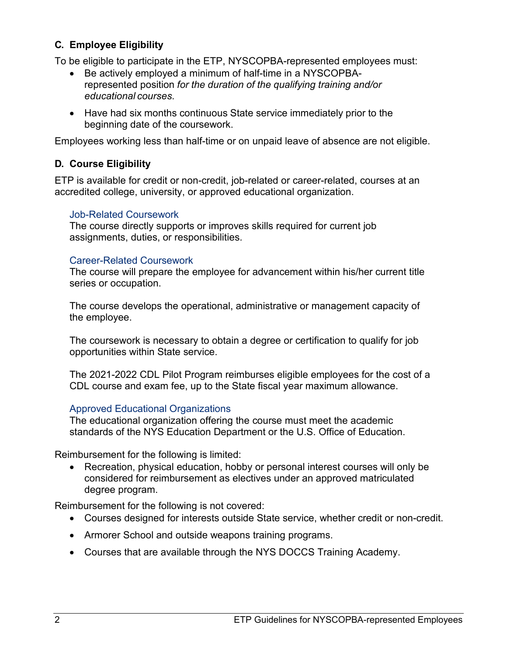## <span id="page-3-0"></span>**C. Employee Eligibility**

To be eligible to participate in the ETP, NYSCOPBA-represented employees must:

- Be actively employed a minimum of half-time in a NYSCOPBArepresented position *for the duration of the qualifying training and/or educational courses*.
- Have had six months continuous State service immediately prior to the beginning date of the coursework.

Employees working less than half-time or on unpaid leave of absence are not eligible.

#### <span id="page-3-1"></span>**D. Course Eligibility**

ETP is available for credit or non-credit, job-related or career-related, courses at an accredited college, university, or approved educational organization.

#### Job-Related Coursework

The course directly supports or improves skills required for current job assignments, duties, or responsibilities.

#### Career-Related Coursework

The course will prepare the employee for advancement within his/her current title series or occupation.

The course develops the operational, administrative or management capacity of the employee.

The coursework is necessary to obtain a degree or certification to qualify for job opportunities within State service.

The 2021-2022 CDL Pilot Program reimburses eligible employees for the cost of a CDL course and exam fee, up to the State fiscal year maximum allowance.

#### Approved Educational Organizations

The educational organization offering the course must meet the academic standards of the NYS Education Department or the U.S. Office of Education.

Reimbursement for the following is limited:

• Recreation, physical education, hobby or personal interest courses will only be considered for reimbursement as electives under an approved matriculated degree program.

Reimbursement for the following is not covered:

- Courses designed for interests outside State service, whether credit or non-credit.
- Armorer School and outside weapons training programs.
- Courses that are available through the NYS DOCCS Training Academy.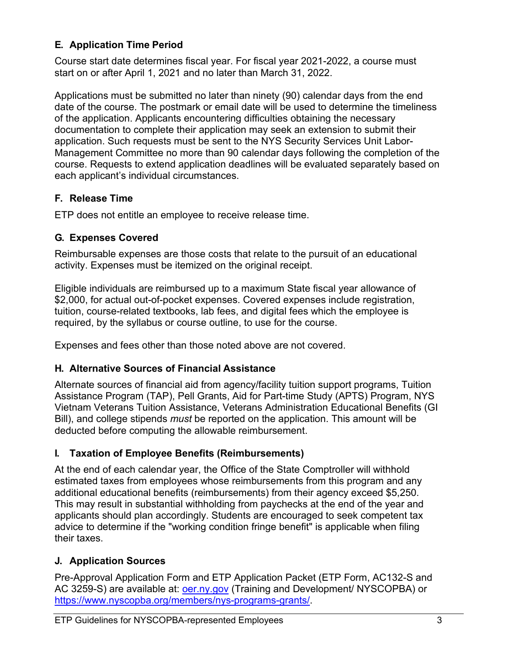# <span id="page-4-0"></span>**E. Application Time Period**

Course start date determines fiscal year. For fiscal year 2021-2022, a course must start on or after April 1, 2021 and no later than March 31, 2022.

Applications must be submitted no later than ninety (90) calendar days from the end date of the course. The postmark or email date will be used to determine the timeliness of the application. Applicants encountering difficulties obtaining the necessary documentation to complete their application may seek an extension to submit their application. Such requests must be sent to the NYS Security Services Unit Labor-Management Committee no more than 90 calendar days following the completion of the course. Requests to extend application deadlines will be evaluated separately based on each applicant's individual circumstances.

# <span id="page-4-1"></span>**F. Release Time**

ETP does not entitle an employee to receive release time.

# <span id="page-4-2"></span>**G. Expenses Covered**

Reimbursable expenses are those costs that relate to the pursuit of an educational activity. Expenses must be itemized on the original receipt.

Eligible individuals are reimbursed up to a maximum State fiscal year allowance of \$2,000, for actual out-of-pocket expenses. Covered expenses include registration, tuition, course-related textbooks, lab fees, and digital fees which the employee is required, by the syllabus or course outline, to use for the course.

Expenses and fees other than those noted above are not covered.

### <span id="page-4-3"></span>**H. Alternative Sources of Financial Assistance**

Alternate sources of financial aid from agency/facility tuition support programs, Tuition Assistance Program (TAP), Pell Grants, Aid for Part-time Study (APTS) Program, NYS Vietnam Veterans Tuition Assistance, Veterans Administration Educational Benefits (GI Bill), and college stipends *must* be reported on the application. This amount will be deducted before computing the allowable reimbursement.

# <span id="page-4-4"></span>**I. Taxation of Employee Benefits (Reimbursements)**

At the end of each calendar year, the Office of the State Comptroller will withhold estimated taxes from employees whose reimbursements from this program and any additional educational benefits (reimbursements) from their agency exceed \$5,250. This may result in substantial withholding from paychecks at the end of the year and applicants should plan accordingly. Students are encouraged to seek competent tax advice to determine if the "working condition fringe benefit" is applicable when filing their taxes.

### <span id="page-4-5"></span>**J. Application Sources**

<span id="page-4-6"></span>Pre-Approval Application Form and ETP Application Packet (ETP Form, AC132-S and AC 3259-S) are available at: *oer.ny.gov* (Training and Development/ NYSCOPBA) or https://www.nyscopba.org/members/nys-programs-grants/.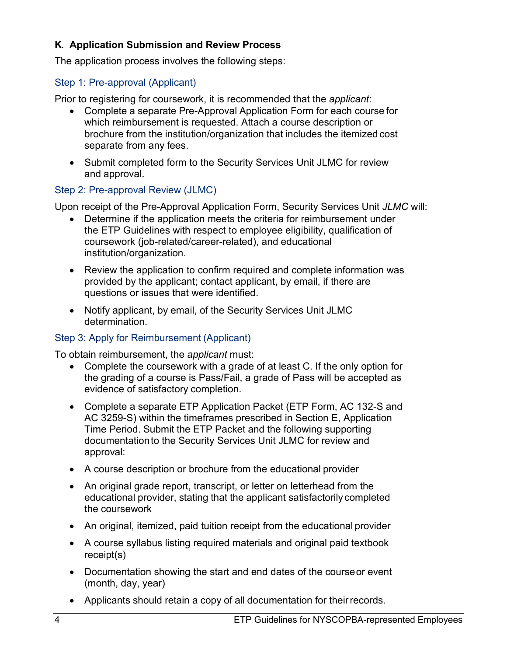#### **K. Application Submission and Review Process**

The application process involves the following steps:

#### Step 1: Pre-approval (Applicant)

Prior to registering for coursework, it is recommended that the *applicant*:

- Complete a separate Pre-Approval Application Form for each course for which reimbursement is requested. Attach a course description or brochure from the institution/organization that includes the itemized cost separate from any fees.
- Submit completed form to the Security Services Unit JLMC for review and approval.

#### Step 2: Pre-approval Review (JLMC)

Upon receipt of the Pre-Approval Application Form, Security Services Unit *JLMC* will:

- Determine if the application meets the criteria for reimbursement under the ETP Guidelines with respect to employee eligibility, qualification of coursework (job-related/career-related), and educational institution/organization.
- Review the application to confirm required and complete information was provided by the applicant; contact applicant, by email, if there are questions or issues that were identified.
- Notify applicant, by email, of the Security Services Unit JLMC determination.

### Step 3: Apply for Reimbursement (Applicant)

To obtain reimbursement, the *applicant* must:

- Complete the coursework with a grade of at least C. If the only option for the grading of a course is Pass/Fail, a grade of Pass will be accepted as evidence of satisfactory completion.
- Complete a separate ETP Application Packet (ETP Form, AC 132-S and AC 3259-S) within the timeframes prescribed in Section E, Application Time Period. Submit the ETP Packet and the following supporting documentationto the Security Services Unit JLMC for review and approval:
- A course description or brochure from the educational provider
- An original grade report, transcript, or letter on letterhead from the educational provider, stating that the applicant satisfactorily completed the coursework
- An original, itemized, paid tuition receipt from the educational provider
- A course syllabus listing required materials and original paid textbook receipt(s)
- Documentation showing the start and end dates of the courseor event (month, day, year)
- Applicants should retain a copy of all documentation for theirrecords.